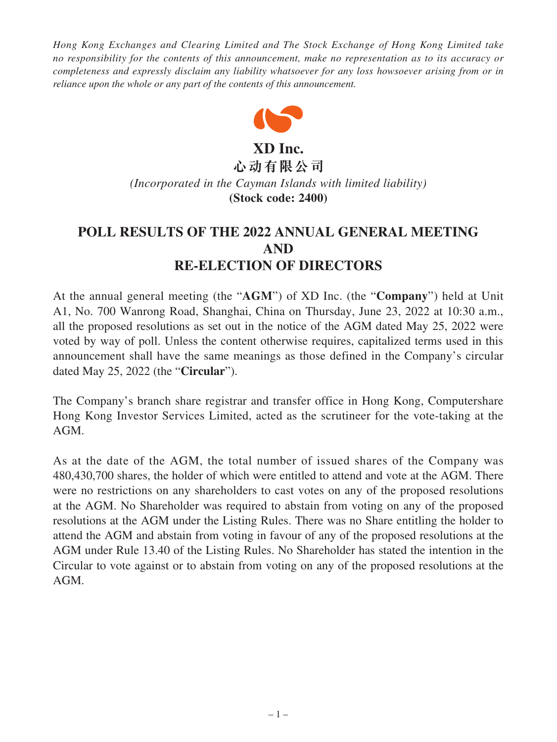*Hong Kong Exchanges and Clearing Limited and The Stock Exchange of Hong Kong Limited take no responsibility for the contents of this announcement, make no representation as to its accuracy or completeness and expressly disclaim any liability whatsoever for any loss howsoever arising from or in reliance upon the whole or any part of the contents of this announcement.*



**XD Inc. 心动有限公司** *(Incorporated in the Cayman Islands with limited liability)*

**(Stock code: 2400)**

# **POLL RESULTS OF THE 2022 ANNUAL GENERAL MEETING AND RE-ELECTION OF DIRECTORS**

At the annual general meeting (the "**AGM**") of XD Inc. (the "**Company**") held at Unit A1, No. 700 Wanrong Road, Shanghai, China on Thursday, June 23, 2022 at 10:30 a.m., all the proposed resolutions as set out in the notice of the AGM dated May 25, 2022 were voted by way of poll. Unless the content otherwise requires, capitalized terms used in this announcement shall have the same meanings as those defined in the Company's circular dated May 25, 2022 (the "**Circular**").

The Company's branch share registrar and transfer office in Hong Kong, Computershare Hong Kong Investor Services Limited, acted as the scrutineer for the vote-taking at the AGM.

As at the date of the AGM, the total number of issued shares of the Company was 480,430,700 shares, the holder of which were entitled to attend and vote at the AGM. There were no restrictions on any shareholders to cast votes on any of the proposed resolutions at the AGM. No Shareholder was required to abstain from voting on any of the proposed resolutions at the AGM under the Listing Rules. There was no Share entitling the holder to attend the AGM and abstain from voting in favour of any of the proposed resolutions at the AGM under Rule 13.40 of the Listing Rules. No Shareholder has stated the intention in the Circular to vote against or to abstain from voting on any of the proposed resolutions at the AGM.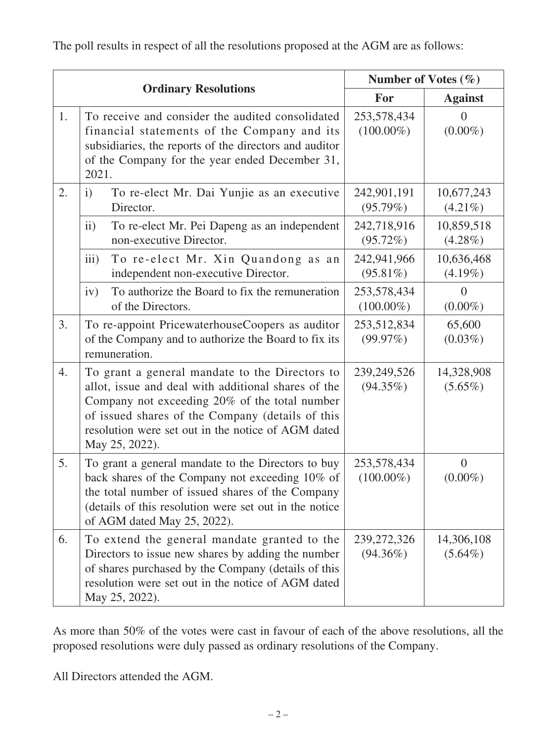The poll results in respect of all the resolutions proposed at the AGM are as follows:

| <b>Ordinary Resolutions</b> |                                                                                                                                                                                                                                                                                    | Number of Votes $(\% )$      |                              |
|-----------------------------|------------------------------------------------------------------------------------------------------------------------------------------------------------------------------------------------------------------------------------------------------------------------------------|------------------------------|------------------------------|
|                             |                                                                                                                                                                                                                                                                                    | For                          | <b>Against</b>               |
| 1.                          | To receive and consider the audited consolidated<br>financial statements of the Company and its<br>subsidiaries, the reports of the directors and auditor<br>of the Company for the year ended December 31,<br>2021.                                                               | 253,578,434<br>$(100.00\%)$  | $\Omega$<br>$(0.00\%)$       |
| 2.                          | To re-elect Mr. Dai Yunjie as an executive<br>$\mathbf{i}$<br>Director.                                                                                                                                                                                                            | 242,901,191<br>(95.79%)      | 10,677,243<br>$(4.21\%)$     |
|                             | To re-elect Mr. Pei Dapeng as an independent<br>ii)<br>non-executive Director.                                                                                                                                                                                                     | 242,718,916<br>(95.72%)      | 10,859,518<br>$(4.28\%)$     |
|                             | iii)<br>To re-elect Mr. Xin Quandong as an<br>independent non-executive Director.                                                                                                                                                                                                  | 242,941,966<br>$(95.81\%)$   | 10,636,468<br>$(4.19\%)$     |
|                             | To authorize the Board to fix the remuneration<br>iv)<br>of the Directors.                                                                                                                                                                                                         | 253,578,434<br>$(100.00\%)$  | $\theta$<br>$(0.00\%)$       |
| 3.                          | To re-appoint PricewaterhouseCoopers as auditor<br>of the Company and to authorize the Board to fix its<br>remuneration.                                                                                                                                                           | 253,512,834<br>(99.97%)      | 65,600<br>$(0.03\%)$         |
| 4.                          | To grant a general mandate to the Directors to<br>allot, issue and deal with additional shares of the<br>Company not exceeding 20% of the total number<br>of issued shares of the Company (details of this<br>resolution were set out in the notice of AGM dated<br>May 25, 2022). | 239,249,526<br>$(94.35\%)$   | 14,328,908<br>$(5.65\%)$     |
| 5.                          | To grant a general mandate to the Directors to buy<br>back shares of the Company not exceeding 10% of<br>the total number of issued shares of the Company<br>(details of this resolution were set out in the notice<br>of AGM dated May 25, 2022).                                 | 253,578,434<br>$(100.00\%)$  | $\overline{0}$<br>$(0.00\%)$ |
| 6.                          | To extend the general mandate granted to the<br>Directors to issue new shares by adding the number<br>of shares purchased by the Company (details of this<br>resolution were set out in the notice of AGM dated<br>May 25, 2022).                                                  | 239, 272, 326<br>$(94.36\%)$ | 14,306,108<br>$(5.64\%)$     |

As more than 50% of the votes were cast in favour of each of the above resolutions, all the proposed resolutions were duly passed as ordinary resolutions of the Company.

All Directors attended the AGM.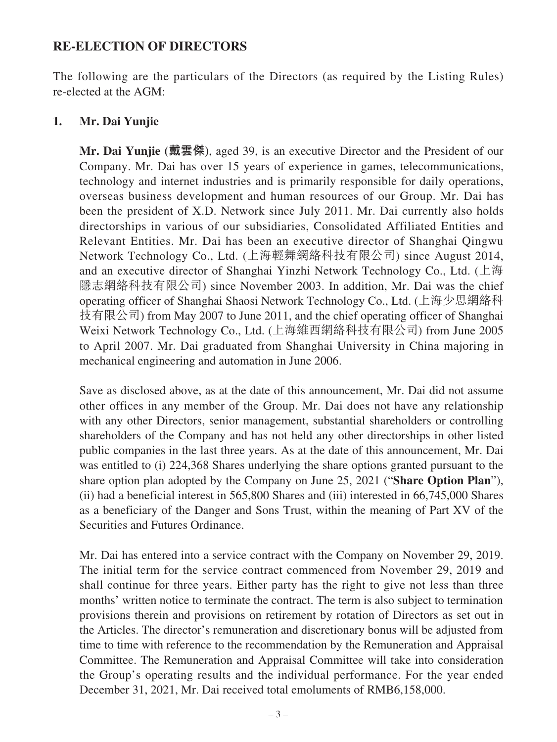# **RE-ELECTION OF DIRECTORS**

The following are the particulars of the Directors (as required by the Listing Rules) re-elected at the AGM:

### **1. Mr. Dai Yunjie**

**Mr. Dai Yunjie (戴雲傑)**, aged 39, is an executive Director and the President of our Company. Mr. Dai has over 15 years of experience in games, telecommunications, technology and internet industries and is primarily responsible for daily operations, overseas business development and human resources of our Group. Mr. Dai has been the president of X.D. Network since July 2011. Mr. Dai currently also holds directorships in various of our subsidiaries, Consolidated Affiliated Entities and Relevant Entities. Mr. Dai has been an executive director of Shanghai Qingwu Network Technology Co., Ltd. (上海輕舞網絡科技有限公司) since August 2014, and an executive director of Shanghai Yinzhi Network Technology Co., Ltd. (上海 隱志網絡科技有限公司) since November 2003. In addition, Mr. Dai was the chief operating officer of Shanghai Shaosi Network Technology Co., Ltd. (上海少思網絡科 技有限公司) from May 2007 to June 2011, and the chief operating officer of Shanghai Weixi Network Technology Co., Ltd. (上海維西網絡科技有限公司) from June 2005 to April 2007. Mr. Dai graduated from Shanghai University in China majoring in mechanical engineering and automation in June 2006.

Save as disclosed above, as at the date of this announcement, Mr. Dai did not assume other offices in any member of the Group. Mr. Dai does not have any relationship with any other Directors, senior management, substantial shareholders or controlling shareholders of the Company and has not held any other directorships in other listed public companies in the last three years. As at the date of this announcement, Mr. Dai was entitled to (i) 224,368 Shares underlying the share options granted pursuant to the share option plan adopted by the Company on June 25, 2021 ("**Share Option Plan**"), (ii) had a beneficial interest in 565,800 Shares and (iii) interested in 66,745,000 Shares as a beneficiary of the Danger and Sons Trust, within the meaning of Part XV of the Securities and Futures Ordinance.

Mr. Dai has entered into a service contract with the Company on November 29, 2019. The initial term for the service contract commenced from November 29, 2019 and shall continue for three years. Either party has the right to give not less than three months' written notice to terminate the contract. The term is also subject to termination provisions therein and provisions on retirement by rotation of Directors as set out in the Articles. The director's remuneration and discretionary bonus will be adjusted from time to time with reference to the recommendation by the Remuneration and Appraisal Committee. The Remuneration and Appraisal Committee will take into consideration the Group's operating results and the individual performance. For the year ended December 31, 2021, Mr. Dai received total emoluments of RMB6,158,000.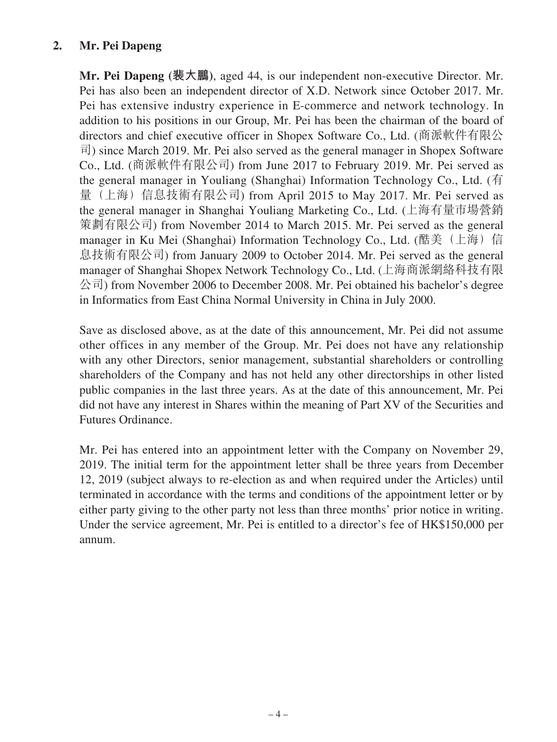# **2. Mr. Pei Dapeng**

**Mr. Pei Dapeng (裴大鵬)**, aged 44, is our independent non-executive Director. Mr. Pei has also been an independent director of X.D. Network since October 2017. Mr. Pei has extensive industry experience in E-commerce and network technology. In addition to his positions in our Group, Mr. Pei has been the chairman of the board of directors and chief executive officer in Shopex Software Co., Ltd. (商派軟件有限公 司) since March 2019. Mr. Pei also served as the general manager in Shopex Software Co., Ltd. (商派軟件有限公司) from June 2017 to February 2019. Mr. Pei served as the general manager in Youliang (Shanghai) Information Technology Co., Ltd. (有 量(上海)信息技術有限公司) from April 2015 to May 2017. Mr. Pei served as the general manager in Shanghai Youliang Marketing Co., Ltd. (上海有量市場營銷 策劃有限公司) from November 2014 to March 2015. Mr. Pei served as the general manager in Ku Mei (Shanghai) Information Technology Co., Ltd. (酷美(上海)信 息技術有限公司) from January 2009 to October 2014. Mr. Pei served as the general manager of Shanghai Shopex Network Technology Co., Ltd. (上海商派網絡科技有限 公司) from November 2006 to December 2008. Mr. Pei obtained his bachelor's degree in Informatics from East China Normal University in China in July 2000.

Save as disclosed above, as at the date of this announcement, Mr. Pei did not assume other offices in any member of the Group. Mr. Pei does not have any relationship with any other Directors, senior management, substantial shareholders or controlling shareholders of the Company and has not held any other directorships in other listed public companies in the last three years. As at the date of this announcement, Mr. Pei did not have any interest in Shares within the meaning of Part XV of the Securities and Futures Ordinance.

Mr. Pei has entered into an appointment letter with the Company on November 29, 2019. The initial term for the appointment letter shall be three years from December 12, 2019 (subject always to re-election as and when required under the Articles) until terminated in accordance with the terms and conditions of the appointment letter or by either party giving to the other party not less than three months' prior notice in writing. Under the service agreement, Mr. Pei is entitled to a director's fee of HK\$150,000 per annum.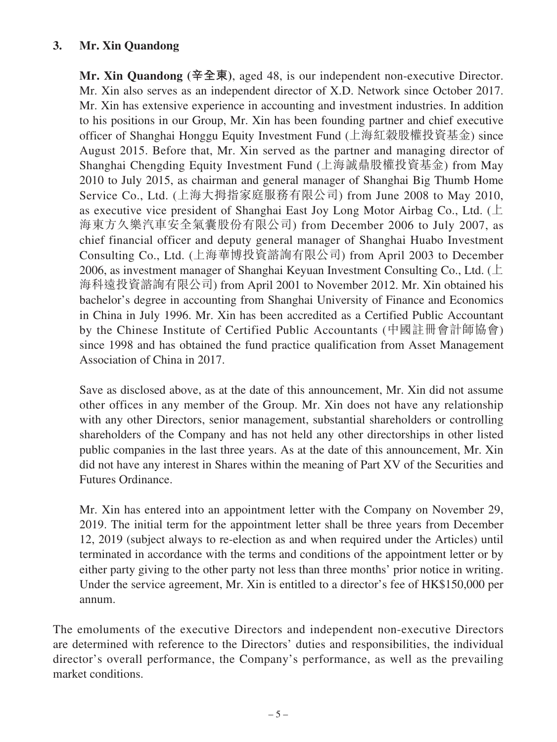# **3. Mr. Xin Quandong**

**Mr. Xin Quandong (辛全東)**, aged 48, is our independent non-executive Director. Mr. Xin also serves as an independent director of X.D. Network since October 2017. Mr. Xin has extensive experience in accounting and investment industries. In addition to his positions in our Group, Mr. Xin has been founding partner and chief executive officer of Shanghai Honggu Equity Investment Fund (上海紅穀股權投資基金) since August 2015. Before that, Mr. Xin served as the partner and managing director of Shanghai Chengding Equity Investment Fund (上海誠鼎股權投資基金) from May 2010 to July 2015, as chairman and general manager of Shanghai Big Thumb Home Service Co., Ltd. (上海大拇指家庭服務有限公司) from June 2008 to May 2010, as executive vice president of Shanghai East Joy Long Motor Airbag Co., Ltd. (上 海東方久樂汽車安全氣囊股份有限公司) from December 2006 to July 2007, as chief financial officer and deputy general manager of Shanghai Huabo Investment Consulting Co., Ltd. (上海華博投資諮詢有限公司) from April 2003 to December 2006, as investment manager of Shanghai Keyuan Investment Consulting Co., Ltd. ( $\pm$ 海科遠投資諮詢有限公司) from April 2001 to November 2012. Mr. Xin obtained his bachelor's degree in accounting from Shanghai University of Finance and Economics in China in July 1996. Mr. Xin has been accredited as a Certified Public Accountant by the Chinese Institute of Certified Public Accountants (中國註冊會計師協會) since 1998 and has obtained the fund practice qualification from Asset Management Association of China in 2017.

Save as disclosed above, as at the date of this announcement, Mr. Xin did not assume other offices in any member of the Group. Mr. Xin does not have any relationship with any other Directors, senior management, substantial shareholders or controlling shareholders of the Company and has not held any other directorships in other listed public companies in the last three years. As at the date of this announcement, Mr. Xin did not have any interest in Shares within the meaning of Part XV of the Securities and Futures Ordinance.

Mr. Xin has entered into an appointment letter with the Company on November 29, 2019. The initial term for the appointment letter shall be three years from December 12, 2019 (subject always to re-election as and when required under the Articles) until terminated in accordance with the terms and conditions of the appointment letter or by either party giving to the other party not less than three months' prior notice in writing. Under the service agreement, Mr. Xin is entitled to a director's fee of HK\$150,000 per annum.

The emoluments of the executive Directors and independent non-executive Directors are determined with reference to the Directors' duties and responsibilities, the individual director's overall performance, the Company's performance, as well as the prevailing market conditions.